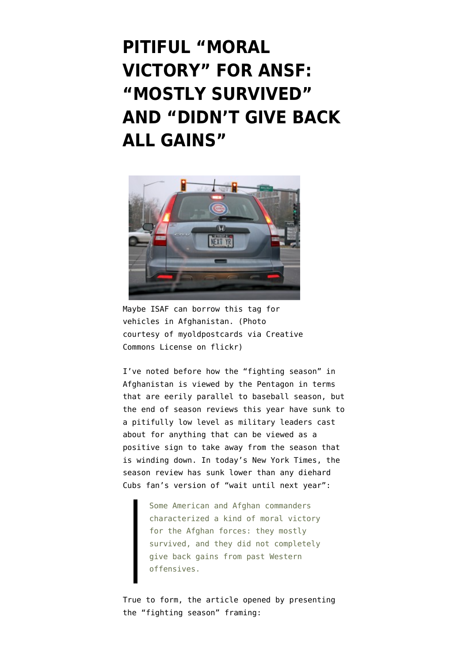## **[PITIFUL "MORAL](https://www.emptywheel.net/2013/10/16/pitiful-moral-victory-for-ansf-mostly-survived-and-didnt-give-back-all-gains/) [VICTORY" FOR ANSF:](https://www.emptywheel.net/2013/10/16/pitiful-moral-victory-for-ansf-mostly-survived-and-didnt-give-back-all-gains/) ["MOSTLY SURVIVED"](https://www.emptywheel.net/2013/10/16/pitiful-moral-victory-for-ansf-mostly-survived-and-didnt-give-back-all-gains/) [AND "DIDN'T GIVE BACK](https://www.emptywheel.net/2013/10/16/pitiful-moral-victory-for-ansf-mostly-survived-and-didnt-give-back-all-gains/) [ALL GAINS"](https://www.emptywheel.net/2013/10/16/pitiful-moral-victory-for-ansf-mostly-survived-and-didnt-give-back-all-gains/)**



Maybe ISAF can borrow this tag for vehicles in Afghanistan. (Photo courtesy of myoldpostcards via Creative Commons License on flickr)

I've noted before how the "fighting season" in Afghanistan is viewed by the Pentagon in [terms](http://my.firedoglake.com/jimwhite/2011/04/20/mullen-erases-over-eight-years-prepares-for-fighting-season-in-afghanistan/) [that are eerily parallel to baseball season](http://my.firedoglake.com/jimwhite/2011/04/20/mullen-erases-over-eight-years-prepares-for-fighting-season-in-afghanistan/), but the end of season reviews this year have sunk to a pitifully low level as military leaders cast about for anything that can be viewed as a positive sign to take away from the season that is winding down. In [today's New York Times](http://www.nytimes.com/2013/10/16/world/asia/afghans-fend-off-taliban-threat-in-pivotal-year.html), the season review has sunk lower than any diehard Cubs fan's version of "wait until next year":

> Some American and Afghan commanders characterized a kind of moral victory for the Afghan forces: they mostly survived, and they did not completely give back gains from past Western offensives.

True to form, the article opened by presenting the "fighting season" framing: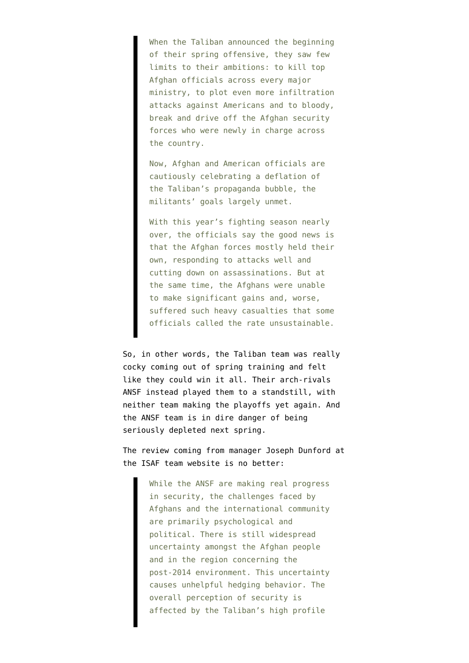When the Taliban announced the beginning of their spring offensive, they saw few limits to their ambitions: to kill top Afghan officials across every major ministry, to plot even more infiltration attacks against Americans and to bloody, break and drive off the Afghan security forces who were newly in charge across the country.

Now, Afghan and American officials are cautiously celebrating a deflation of the Taliban's propaganda bubble, the militants' goals largely unmet.

With this year's fighting season nearly over, the officials say the good news is that the Afghan forces mostly held their own, responding to attacks well and cutting down on assassinations. But at the same time, the Afghans were unable to make significant gains and, worse, suffered such heavy casualties that some officials called the rate unsustainable.

So, in other words, the Taliban team was really cocky coming out of spring training and felt like they could win it all. Their arch-rivals ANSF instead played them to a standstill, with neither team making the playoffs yet again. And the ANSF team is in dire danger of being seriously depleted next spring.

The review coming from manager Joseph Dunford [at](http://www.isaf.nato.int/article/isaf-news-list/commander-isaf-s-afghanistan-update-summer-2013.html) [the ISAF team website](http://www.isaf.nato.int/article/isaf-news-list/commander-isaf-s-afghanistan-update-summer-2013.html) is no better:

> While the ANSF are making real progress in security, the challenges faced by Afghans and the international community are primarily psychological and political. There is still widespread uncertainty amongst the Afghan people and in the region concerning the post-2014 environment. This uncertainty causes unhelpful hedging behavior. The overall perception of security is affected by the Taliban's high profile